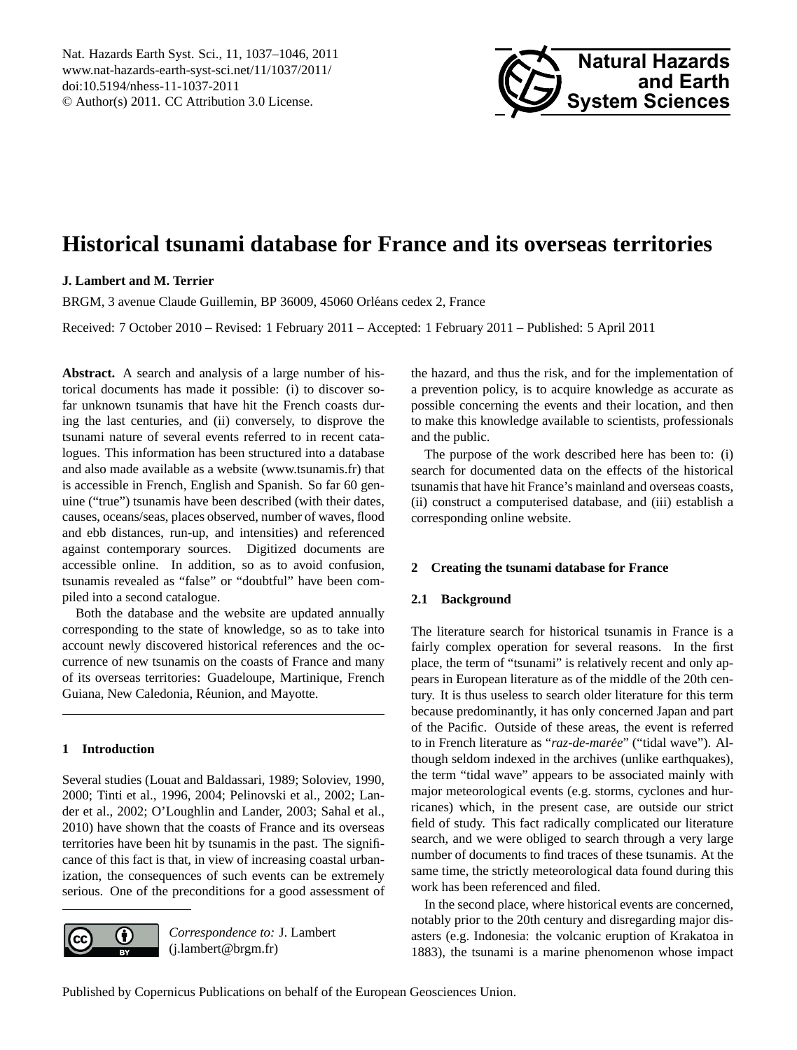<span id="page-0-0"></span>Nat. Hazards Earth Syst. Sci., 11, 1037–1046, 2011 www.nat-hazards-earth-syst-sci.net/11/1037/2011/ doi:10.5194/nhess-11-1037-2011 © Author(s) 2011. CC Attribution 3.0 License.



# **Historical tsunami database for France and its overseas territories**

# **J. Lambert and M. Terrier**

BRGM, 3 avenue Claude Guillemin, BP 36009, 45060 Orleans cedex 2, France ´

Received: 7 October 2010 – Revised: 1 February 2011 – Accepted: 1 February 2011 – Published: 5 April 2011

**Abstract.** A search and analysis of a large number of historical documents has made it possible: (i) to discover sofar unknown tsunamis that have hit the French coasts during the last centuries, and (ii) conversely, to disprove the tsunami nature of several events referred to in recent catalogues. This information has been structured into a database and also made available as a website [\(www.tsunamis.fr\)](www.tsunamis.fr) that is accessible in French, English and Spanish. So far 60 genuine ("true") tsunamis have been described (with their dates, causes, oceans/seas, places observed, number of waves, flood and ebb distances, run-up, and intensities) and referenced against contemporary sources. Digitized documents are accessible online. In addition, so as to avoid confusion, tsunamis revealed as "false" or "doubtful" have been compiled into a second catalogue.

Both the database and the website are updated annually corresponding to the state of knowledge, so as to take into account newly discovered historical references and the occurrence of new tsunamis on the coasts of France and many of its overseas territories: Guadeloupe, Martinique, French Guiana, New Caledonia, Réunion, and Mayotte.

# **1 Introduction**

Several studies (Louat and Baldassari, 1989; Soloviev, 1990, 2000; Tinti et al., 1996, 2004; Pelinovski et al., 2002; Lander et al., 2002; O'Loughlin and Lander, 2003; Sahal et al., 2010) have shown that the coasts of France and its overseas territories have been hit by tsunamis in the past. The significance of this fact is that, in view of increasing coastal urbanization, the consequences of such events can be extremely serious. One of the preconditions for a good assessment of



*Correspondence to:* J. Lambert (j.lambert@brgm.fr)

the hazard, and thus the risk, and for the implementation of a prevention policy, is to acquire knowledge as accurate as possible concerning the events and their location, and then to make this knowledge available to scientists, professionals and the public.

The purpose of the work described here has been to: (i) search for documented data on the effects of the historical tsunamis that have hit France's mainland and overseas coasts, (ii) construct a computerised database, and (iii) establish a corresponding online website.

# **2 Creating the tsunami database for France**

# **2.1 Background**

The literature search for historical tsunamis in France is a fairly complex operation for several reasons. In the first place, the term of "tsunami" is relatively recent and only appears in European literature as of the middle of the 20th century. It is thus useless to search older literature for this term because predominantly, it has only concerned Japan and part of the Pacific. Outside of these areas, the event is referred to in French literature as "raz-de-marée" ("tidal wave"). Although seldom indexed in the archives (unlike earthquakes), the term "tidal wave" appears to be associated mainly with major meteorological events (e.g. storms, cyclones and hurricanes) which, in the present case, are outside our strict field of study. This fact radically complicated our literature search, and we were obliged to search through a very large number of documents to find traces of these tsunamis. At the same time, the strictly meteorological data found during this work has been referenced and filed.

In the second place, where historical events are concerned, notably prior to the 20th century and disregarding major disasters (e.g. Indonesia: the volcanic eruption of Krakatoa in 1883), the tsunami is a marine phenomenon whose impact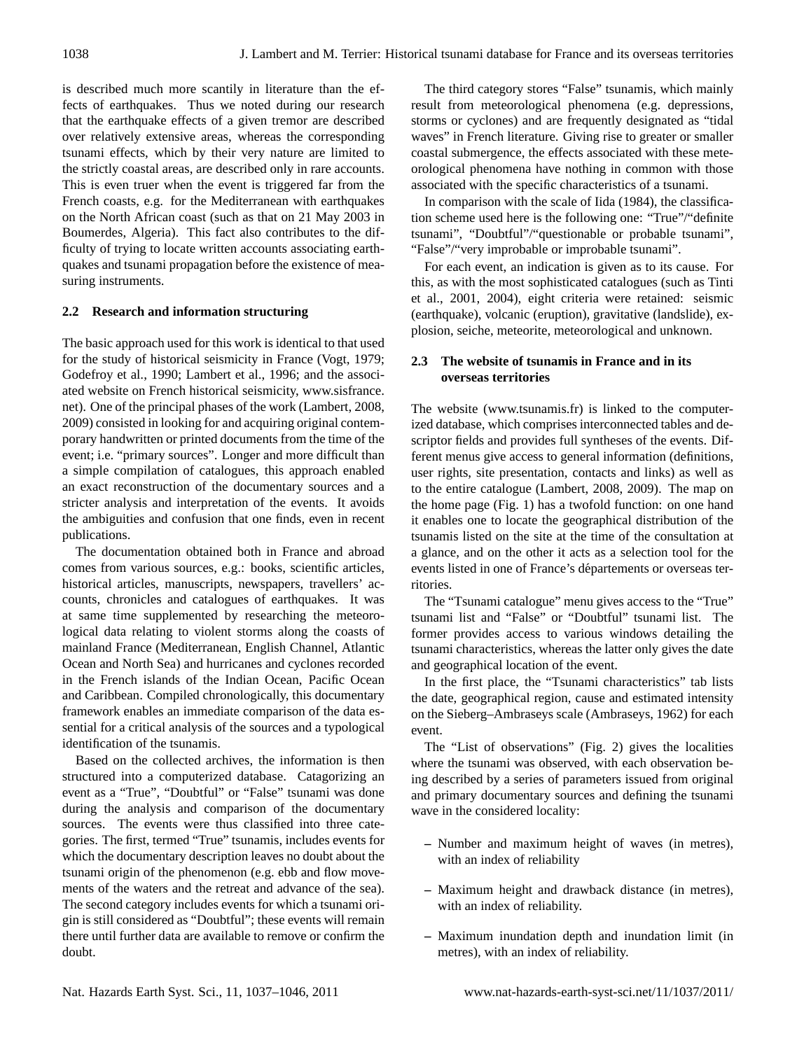is described much more scantily in literature than the effects of earthquakes. Thus we noted during our research that the earthquake effects of a given tremor are described over relatively extensive areas, whereas the corresponding tsunami effects, which by their very nature are limited to the strictly coastal areas, are described only in rare accounts. This is even truer when the event is triggered far from the French coasts, e.g. for the Mediterranean with earthquakes on the North African coast (such as that on 21 May 2003 in Boumerdes, Algeria). This fact also contributes to the difficulty of trying to locate written accounts associating earthquakes and tsunami propagation before the existence of measuring instruments.

## **2.2 Research and information structuring**

The basic approach used for this work is identical to that used for the study of historical seismicity in France (Vogt, 1979; Godefroy et al., 1990; Lambert et al., 1996; and the associated website on French historical seismicity, [www.sisfrance.](www.sisfrance.net) [net\)](www.sisfrance.net). One of the principal phases of the work (Lambert, 2008, 2009) consisted in looking for and acquiring original contemporary handwritten or printed documents from the time of the event; i.e. "primary sources". Longer and more difficult than a simple compilation of catalogues, this approach enabled an exact reconstruction of the documentary sources and a stricter analysis and interpretation of the events. It avoids the ambiguities and confusion that one finds, even in recent publications.

The documentation obtained both in France and abroad comes from various sources, e.g.: books, scientific articles, historical articles, manuscripts, newspapers, travellers' accounts, chronicles and catalogues of earthquakes. It was at same time supplemented by researching the meteorological data relating to violent storms along the coasts of mainland France (Mediterranean, English Channel, Atlantic Ocean and North Sea) and hurricanes and cyclones recorded in the French islands of the Indian Ocean, Pacific Ocean and Caribbean. Compiled chronologically, this documentary framework enables an immediate comparison of the data essential for a critical analysis of the sources and a typological identification of the tsunamis.

Based on the collected archives, the information is then structured into a computerized database. Catagorizing an event as a "True", "Doubtful" or "False" tsunami was done during the analysis and comparison of the documentary sources. The events were thus classified into three categories. The first, termed "True" tsunamis, includes events for which the documentary description leaves no doubt about the tsunami origin of the phenomenon (e.g. ebb and flow movements of the waters and the retreat and advance of the sea). The second category includes events for which a tsunami origin is still considered as "Doubtful"; these events will remain there until further data are available to remove or confirm the doubt.

The third category stores "False" tsunamis, which mainly result from meteorological phenomena (e.g. depressions, storms or cyclones) and are frequently designated as "tidal waves" in French literature. Giving rise to greater or smaller coastal submergence, the effects associated with these meteorological phenomena have nothing in common with those associated with the specific characteristics of a tsunami.

In comparison with the scale of Iida (1984), the classification scheme used here is the following one: "True"/"definite tsunami", "Doubtful"/"questionable or probable tsunami", "False"/"very improbable or improbable tsunami".

For each event, an indication is given as to its cause. For this, as with the most sophisticated catalogues (such as Tinti et al., 2001, 2004), eight criteria were retained: seismic (earthquake), volcanic (eruption), gravitative (landslide), explosion, seiche, meteorite, meteorological and unknown.

# **2.3 The website of tsunamis in France and in its overseas territories**

The website [\(www.tsunamis.fr\)](www.tsunamis.fr) is linked to the computerized database, which comprises interconnected tables and descriptor fields and provides full syntheses of the events. Different menus give access to general information (definitions, user rights, site presentation, contacts and links) as well as to the entire catalogue (Lambert, 2008, 2009). The map on the home page (Fig. 1) has a twofold function: on one hand it enables one to locate the geographical distribution of the tsunamis listed on the site at the time of the consultation at a glance, and on the other it acts as a selection tool for the events listed in one of France's départements or overseas territories.

The "Tsunami catalogue" menu gives access to the "True" tsunami list and "False" or "Doubtful" tsunami list. The former provides access to various windows detailing the tsunami characteristics, whereas the latter only gives the date and geographical location of the event.

In the first place, the "Tsunami characteristics" tab lists the date, geographical region, cause and estimated intensity on the Sieberg–Ambraseys scale (Ambraseys, 1962) for each event.

The "List of observations" (Fig. 2) gives the localities where the tsunami was observed, with each observation being described by a series of parameters issued from original and primary documentary sources and defining the tsunami wave in the considered locality:

- **–** Number and maximum height of waves (in metres), with an index of reliability
- **–** Maximum height and drawback distance (in metres), with an index of reliability.
- **–** Maximum inundation depth and inundation limit (in metres), with an index of reliability.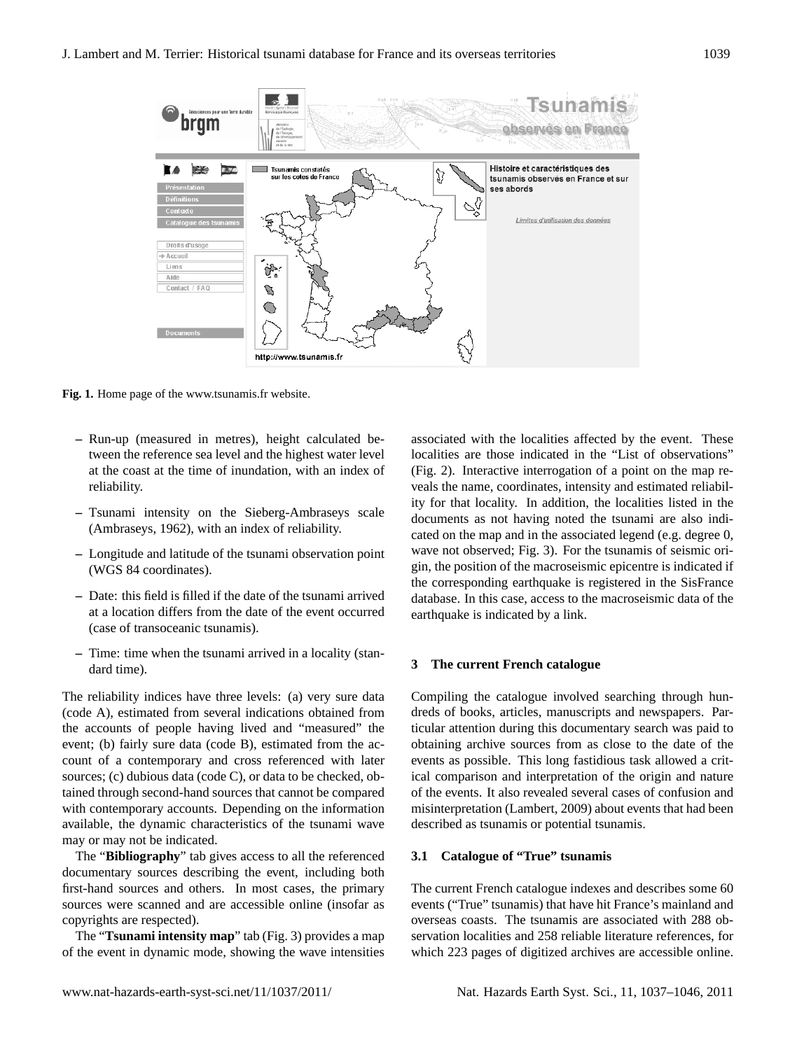

**Fig. 1.** Home page of the <www.tsunamis.fr> website.

- **–** Run-up (measured in metres), height calculated between the reference sea level and the highest water level at the coast at the time of inundation, with an index of reliability.
- **–** Tsunami intensity on the Sieberg-Ambraseys scale (Ambraseys, 1962), with an index of reliability.
- **–** Longitude and latitude of the tsunami observation point (WGS 84 coordinates).
- **–** Date: this field is filled if the date of the tsunami arrived at a location differs from the date of the event occurred (case of transoceanic tsunamis).
- **–** Time: time when the tsunami arrived in a locality (standard time).

The reliability indices have three levels: (a) very sure data (code A), estimated from several indications obtained from the accounts of people having lived and "measured" the event; (b) fairly sure data (code B), estimated from the account of a contemporary and cross referenced with later sources; (c) dubious data (code C), or data to be checked, obtained through second-hand sources that cannot be compared with contemporary accounts. Depending on the information available, the dynamic characteristics of the tsunami wave may or may not be indicated.

The "**Bibliography**" tab gives access to all the referenced documentary sources describing the event, including both first-hand sources and others. In most cases, the primary sources were scanned and are accessible online (insofar as copyrights are respected).

The "**Tsunami intensity map**" tab (Fig. 3) provides a map of the event in dynamic mode, showing the wave intensities

associated with the localities affected by the event. These localities are those indicated in the "List of observations" (Fig. 2). Interactive interrogation of a point on the map reveals the name, coordinates, intensity and estimated reliability for that locality. In addition, the localities listed in the documents as not having noted the tsunami are also indicated on the map and in the associated legend (e.g. degree 0, wave not observed; Fig. 3). For the tsunamis of seismic origin, the position of the macroseismic epicentre is indicated if the corresponding earthquake is registered in the SisFrance database. In this case, access to the macroseismic data of the earthquake is indicated by a link.

# **3 The current French catalogue**

10/16 described as tsunamis or potential tsunamis. Compiling the catalogue involved searching through hundreds of books, articles, manuscripts and newspapers. Particular attention during this documentary search was paid to obtaining archive sources from as close to the date of the events as possible. This long fastidious task allowed a critical comparison and interpretation of the origin and nature of the events. It also revealed several cases of confusion and misinterpretation (Lambert, 2009) about events that had been

## **3.1 Catalogue of "True" tsunamis**

The current French catalogue indexes and describes some 60 events ("True" tsunamis) that have hit France's mainland and overseas coasts. The tsunamis are associated with 288 observation localities and 258 reliable literature references, for which 223 pages of digitized archives are accessible online.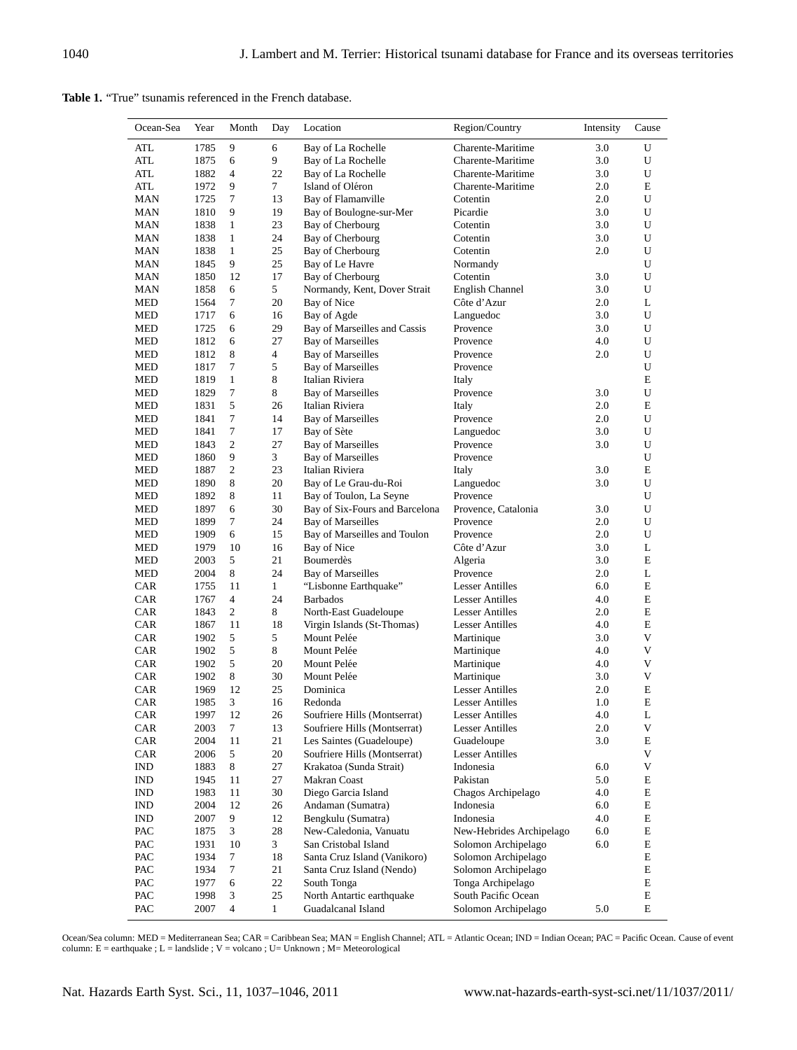**Table 1.** "True" tsunamis referenced in the French database.

| Ocean-Sea                   | Year | Month          | Day            | Location                       | Region/Country           | Intensity | Cause       |
|-----------------------------|------|----------------|----------------|--------------------------------|--------------------------|-----------|-------------|
| ATL                         | 1785 | 9              | 6              | Bay of La Rochelle             | Charente-Maritime        | 3.0       | U           |
| ATL                         | 1875 | 6              | $\overline{9}$ | Bay of La Rochelle             | Charente-Maritime        | 3.0       | U           |
| ATL                         | 1882 | $\overline{4}$ | 22             | Bay of La Rochelle             | Charente-Maritime        | 3.0       | U           |
| ATL                         | 1972 | 9              | $\tau$         | Island of Oléron               | Charente-Maritime        | 2.0       | Е           |
| MAN                         | 1725 | 7              | 13             | Bay of Flamanville             | Cotentin                 | 2.0       | U           |
| MAN                         | 1810 | 9              | 19             | Bay of Boulogne-sur-Mer        | Picardie                 | 3.0       | U           |
| MAN                         | 1838 | $\mathbf{1}$   | 23             | Bay of Cherbourg               | Cotentin                 | 3.0       | U           |
| MAN                         | 1838 | $\mathbf{1}$   | 24             | Bay of Cherbourg               | Cotentin                 | 3.0       | $\mathbf U$ |
| <b>MAN</b>                  | 1838 | $\mathbf{1}$   | 25             | Bay of Cherbourg               | Cotentin                 | 2.0       | U           |
| MAN                         | 1845 | 9              | 25             | Bay of Le Havre                | Normandy                 |           | U           |
| MAN                         | 1850 | 12             | 17             | Bay of Cherbourg               | Cotentin                 | 3.0       | ${\bf U}$   |
| MAN                         | 1858 | 6              | 5              | Normandy, Kent, Dover Strait   | <b>English Channel</b>   | 3.0       | U           |
| MED                         | 1564 | 7              | 20             | Bay of Nice                    | Côte d'Azur              | 2.0       | L           |
| <b>MED</b>                  | 1717 | 6              | 16             | Bay of Agde                    | Languedoc                | 3.0       | U           |
| MED                         | 1725 | 6              | 29             | Bay of Marseilles and Cassis   | Provence                 | 3.0       | U           |
| <b>MED</b>                  | 1812 | 6              | 27             | <b>Bay of Marseilles</b>       | Provence                 | 4.0       | U           |
| <b>MED</b>                  | 1812 | 8              | 4              | <b>Bay of Marseilles</b>       | Provence                 | 2.0       | U           |
| <b>MED</b>                  | 1817 | 7              | 5              | Bay of Marseilles              | Provence                 |           | $\mathbf U$ |
| <b>MED</b>                  | 1819 | $\mathbf{1}$   | 8              | Italian Riviera                | Italy                    |           | Е           |
| <b>MED</b>                  | 1829 | 7              | 8              | Bay of Marseilles              | Provence                 | 3.0       | U           |
| <b>MED</b>                  | 1831 | 5              | 26             | Italian Riviera                | Italy                    | 2.0       | $\mathbf E$ |
| <b>MED</b>                  | 1841 | 7              | 14             | <b>Bay of Marseilles</b>       | Provence                 | 2.0       | U           |
| <b>MED</b>                  | 1841 | 7              | 17             | Bay of Sète                    | Languedoc                | 3.0       | U           |
| <b>MED</b>                  | 1843 | $\overline{c}$ | 27             | <b>Bay of Marseilles</b>       | Provence                 | 3.0       | U           |
| <b>MED</b>                  | 1860 | 9              | 3              | Bay of Marseilles              | Provence                 |           | ${\bf U}$   |
| <b>MED</b>                  | 1887 | $\overline{c}$ | 23             | Italian Riviera                | Italy                    | 3.0       | $\mathbf E$ |
| <b>MED</b>                  | 1890 | 8              | 20             | Bay of Le Grau-du-Roi          | Languedoc                | 3.0       | U           |
| <b>MED</b>                  | 1892 | 8              | 11             | Bay of Toulon, La Seyne        | Provence                 |           | U           |
| <b>MED</b>                  | 1897 | 6              | 30             | Bay of Six-Fours and Barcelona | Provence, Catalonia      | 3.0       | ${\bf U}$   |
| <b>MED</b>                  | 1899 | 7              | 24             | <b>Bay of Marseilles</b>       | Provence                 | 2.0       | U           |
| <b>MED</b>                  | 1909 | 6              | 15             | Bay of Marseilles and Toulon   | Provence                 | 2.0       | $\mathbf U$ |
| <b>MED</b>                  | 1979 | 10             | 16             | Bay of Nice                    | Côte d'Azur              | 3.0       | L           |
| <b>MED</b>                  | 2003 | 5              | 21             | Boumerdès                      | Algeria                  | 3.0       | E           |
|                             |      | 8              | 24             |                                |                          | 2.0       | L           |
| MED                         | 2004 |                |                | Bay of Marseilles              | Provence                 |           |             |
| CAR                         | 1755 | 11             | $\mathbf{1}$   | "Lisbonne Earthquake"          | <b>Lesser Antilles</b>   | 6.0       | Е           |
| CAR                         | 1767 | $\overline{4}$ | 24             | <b>Barbados</b>                | <b>Lesser Antilles</b>   | 4.0       | E           |
| CAR                         | 1843 | $\overline{c}$ | 8              | North-East Guadeloupe          | <b>Lesser Antilles</b>   | 2.0       | Е           |
| CAR                         | 1867 | 11             | 18             | Virgin Islands (St-Thomas)     | <b>Lesser Antilles</b>   | 4.0       | E           |
| CAR                         | 1902 | 5              | 5              | Mount Pelée                    | Martinique               | 3.0       | V           |
| CAR                         | 1902 | 5              | 8              | Mount Pelée                    | Martinique               | 4.0       | V           |
| CAR                         | 1902 | 5              | 20             | Mount Pelée                    | Martinique               | 4.0       | V           |
| CAR                         | 1902 | 8              | 30             | Mount Pelée                    | Martinique               | 3.0       | V           |
| CAR                         | 1969 | 12             | 25             | Dominica                       | <b>Lesser Antilles</b>   | 2.0       | E           |
| CAR                         | 1985 | 3              | 16             | Redonda                        | <b>Lesser Antilles</b>   | 1.0       | E           |
| CAR                         | 1997 | 12             | 26             | Soufriere Hills (Montserrat)   | <b>Lesser Antilles</b>   | 4.0       | L           |
| CAR                         | 2003 | 7              | 13             | Soufriere Hills (Montserrat)   | <b>Lesser Antilles</b>   | 2.0       | V           |
| CAR                         | 2004 | 11             | 21             | Les Saintes (Guadeloupe)       | Guadeloupe               | 3.0       | Е           |
| CAR                         | 2006 | $\mathfrak s$  | 20             | Soufriere Hills (Montserrat)   | <b>Lesser Antilles</b>   |           | $\mathbf V$ |
| IND                         | 1883 | 8              | 27             | Krakatoa (Sunda Strait)        | Indonesia                | 6.0       | V           |
| $\mathop{\rm IND}\nolimits$ | 1945 | 11             | 27             | Makran Coast                   | Pakistan                 | 5.0       | Е           |
| $\mathop{\rm IND}\nolimits$ | 1983 | 11             | 30             | Diego Garcia Island            | Chagos Archipelago       | 4.0       | Е           |
| <b>IND</b>                  | 2004 | 12             | 26             | Andaman (Sumatra)              | Indonesia                | 6.0       | Е           |
| $\mathop{\rm IND}\nolimits$ | 2007 | 9              | 12             | Bengkulu (Sumatra)             | Indonesia                | 4.0       | Е           |
| PAC                         | 1875 | 3              | 28             | New-Caledonia, Vanuatu         | New-Hebrides Archipelago | 6.0       | E           |
| PAC                         | 1931 | 10             | $\mathfrak{Z}$ | San Cristobal Island           | Solomon Archipelago      | 6.0       | Е           |
| PAC                         | 1934 | 7              | 18             | Santa Cruz Island (Vanikoro)   | Solomon Archipelago      |           | Е           |
| PAC                         | 1934 | 7              | 21             | Santa Cruz Island (Nendo)      | Solomon Archipelago      |           | Е           |
| PAC                         | 1977 | 6              | 22             | South Tonga                    | Tonga Archipelago        |           | Е           |
| PAC                         | 1998 | 3              | 25             | North Antartic earthquake      | South Pacific Ocean      |           | Е           |
| PAC                         | 2007 | $\overline{4}$ | $\mathbf{1}$   | Guadalcanal Island             | Solomon Archipelago      | 5.0       | Е           |

Ocean/Sea column: MED = Mediterranean Sea; CAR = Caribbean Sea; MAN = English Channel; ATL = Atlantic Ocean; IND = Indian Ocean; PAC = Pacific Ocean. Cause of event column: E = earthquake ; L = landslide ; V = volcano ; U= Unknown ; M= Meteorological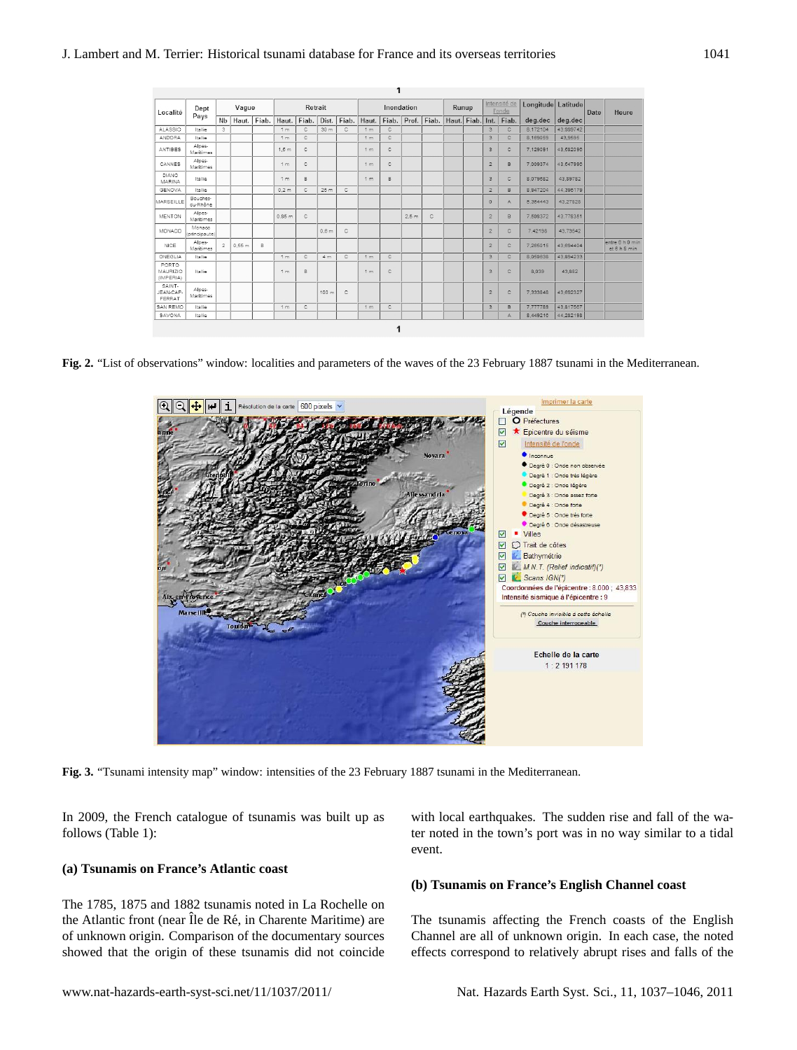| Localité                       | Dept                    | Vague          |          | Retrait |                  |       | Inondation       |              |                | Runup       |      | Intensité de<br><b>l'onde</b> |  | Longitude Latitude |                | Date         | Heure                     |           |  |                                 |
|--------------------------------|-------------------------|----------------|----------|---------|------------------|-------|------------------|--------------|----------------|-------------|------|-------------------------------|--|--------------------|----------------|--------------|---------------------------|-----------|--|---------------------------------|
|                                | Pays                    | Nb             | Haut.    | Fiab.   | Haut.            | Fiab. | Dist.            | Fiab.        | Haut.          | Fiab.       |      | Prof. Fiab.                   |  | Haut. Fiab.        | Int.           | Fiab.        | $deq.$ dec $deq.$ deg.dec |           |  |                                 |
| ALASSIO                        | Italie                  | $\overline{3}$ |          |         | 1 <sub>m</sub>   | c     | 30 <sub>m</sub>  | $\circ$      | 1 <sub>m</sub> | c           |      |                               |  |                    | $\overline{3}$ | $\mathbf{C}$ | 8.172104                  | 43,999742 |  |                                 |
| ANDORA                         | Italie                  |                |          |         | 1 <sub>m</sub>   | c     |                  |              | 1 <sub>m</sub> | c           |      |                               |  |                    | 3              | c            | 8.169059                  | 43.9595   |  |                                 |
| ANTIBES                        | Alpes-<br>Maritimes     |                |          |         | 1.5 <sub>m</sub> | c     |                  |              | 1 <sub>m</sub> | $\mathbf C$ |      |                               |  |                    | 3              | $\mathbf{C}$ | 7,129091                  | 43,582096 |  |                                 |
| CANNES                         | Aloes-<br>Maritimes     |                |          |         | 1 <sub>m</sub>   | c     |                  |              | 1 <sub>m</sub> | c           |      |                               |  |                    | $\overline{2}$ | B            | 7.009374                  | 43,547996 |  |                                 |
| DIANO<br><b>MARINA</b>         | Italie                  |                |          |         | 1 <sub>m</sub>   | B     |                  |              | 1 <sub>m</sub> | в           |      |                               |  |                    | 3              | c            | 8.079682                  | 43.89782  |  |                                 |
| GENOVA                         | Italie                  |                |          |         | 0.2 <sub>m</sub> | c     | 26 m             | $\mathsf{C}$ |                |             |      |                               |  |                    | $\overline{2}$ | $\boxdot$    | 8,947204                  | 44,396179 |  |                                 |
| MARSEILLE                      | Bouches-<br>du-Rhône    |                |          |         |                  |       |                  |              |                |             |      |                               |  |                    | $\Omega$       | A            | 5,354443                  | 43,27828  |  |                                 |
| MENTON                         | Aloes-<br>Maritimes     |                |          |         | 0.85 m           | c     |                  |              |                |             | 2.5m | c                             |  |                    | $\overline{2}$ | B            | 7.508372                  | 43,778351 |  |                                 |
| MONACO                         | Monaco<br>(principaute) |                |          |         |                  |       | 0.6 <sub>m</sub> | c            |                |             |      |                               |  |                    | $\overline{2}$ | $\mathsf{C}$ | 7.42198                   | 43.73542  |  |                                 |
| <b>NICE</b>                    | Alpes-<br>Maritimes     | $\overline{2}$ | $0,55$ m | B       |                  |       |                  |              |                |             |      |                               |  |                    | $\overline{2}$ | $\mathbf{C}$ | 7.265015                  | 43.694404 |  | entre 6 h 0 min<br>et 6 h 8 min |
| ONEGLIA                        | Italie                  |                |          |         | 1 <sub>m</sub>   | c     | 4 <sub>m</sub>   | $\mathbb C$  | 1 <sub>m</sub> | $\mathbb C$ |      |                               |  |                    | $\overline{3}$ | c            | 8,050638                  | 43,894233 |  |                                 |
| PORTO<br>MAURIZIO<br>(IMPERIA) | Italie                  |                |          |         | 1 <sub>m</sub>   | B     |                  |              | 1 <sub>m</sub> | c           |      |                               |  |                    | $\overline{a}$ | c            | 8.039                     | 43.882    |  |                                 |
| SAINT-<br>JEAN-CAP-<br>FERRAT  | Alpes-<br>Maritimes     |                |          |         |                  |       | 100 m            | $\mathbb C$  |                |             |      |                               |  |                    | $\overline{a}$ | $\mathbf{C}$ | 7,333848                  | 43,692327 |  |                                 |
| SAN REMO                       | Italie                  |                |          |         | 1 <sub>m</sub>   | c     |                  |              | 1 <sub>m</sub> | c           |      |                               |  |                    | $\overline{3}$ | B            | 7,777789                  | 43.817567 |  |                                 |
| SAVONA                         | Italie                  |                |          |         |                  |       |                  |              |                |             |      |                               |  |                    |                | A            | 8,449216                  | 44,282198 |  |                                 |

*Fig. 2 –*  $\sigma$  *is a parameters of the waves of the 23 February 1887 tsupami in the M* Fig. 2. "List of observations" window: localities and parameters of the waves of the 23 February 1887 tsunami in the Mediterranean. parameters of the waves of the 23<sup>1</sup>



ity map" window: intensities of the 23 February 1887 tsunami in the Mediterranean. *Mediterranean*  **Fig. 3.** "Tsunami intensity map" window: intensities of the 23 February 1887 tsunami in the Mediterranean.

In 2009, the French catalogue of tsunamis was built up as follows (Table 1):

# **(a) Tsunamis on France's Atlantic coast**

The 1785, 1875 and 1882 tsunamis noted in La Rochelle on the Atlantic front (near Île de Ré, in Charente Maritime) are of unknown origin. Comparison of the documentary sources showed that the origin of these tsunamis did not coincide with local earthquakes. The sudden rise and fall of the water noted in the town's port was in no way similar to a tidal event.

#### **(b) Tsunamis on France's English Channel coast**

The tsunamis affecting the French coasts of the English Channel are all of unknown origin. In each case, the noted effects correspond to relatively abrupt rises and falls of the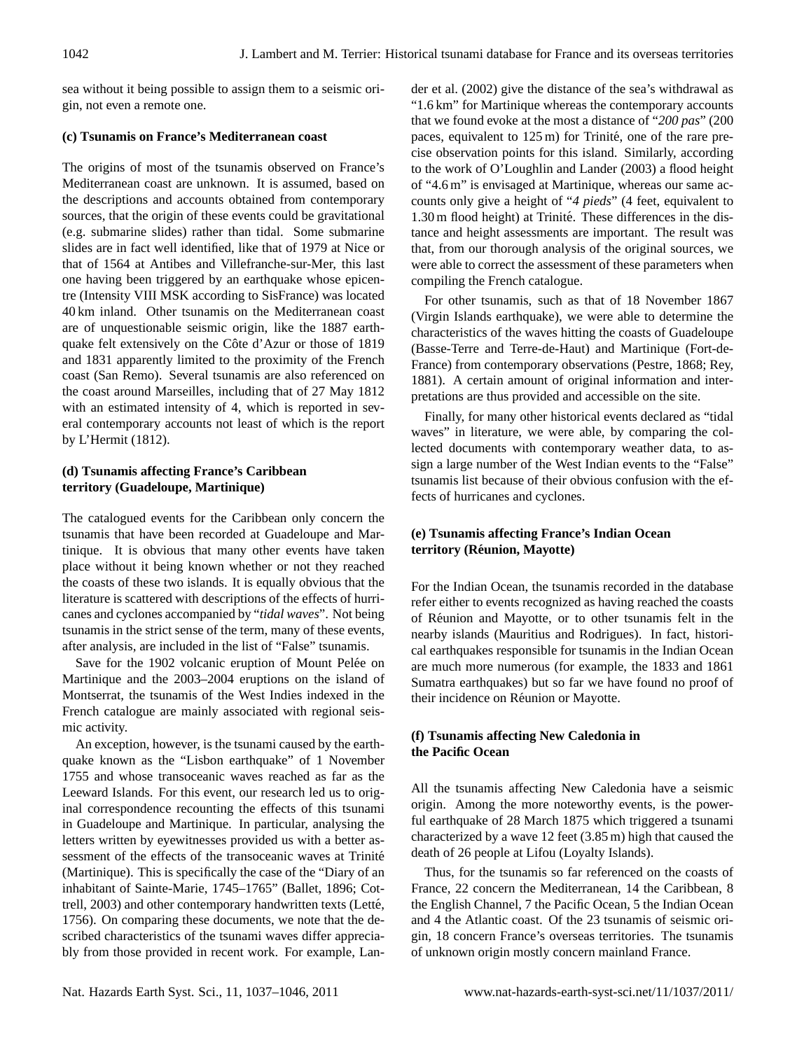sea without it being possible to assign them to a seismic origin, not even a remote one.

# **(c) Tsunamis on France's Mediterranean coast**

The origins of most of the tsunamis observed on France's Mediterranean coast are unknown. It is assumed, based on the descriptions and accounts obtained from contemporary sources, that the origin of these events could be gravitational (e.g. submarine slides) rather than tidal. Some submarine slides are in fact well identified, like that of 1979 at Nice or that of 1564 at Antibes and Villefranche-sur-Mer, this last one having been triggered by an earthquake whose epicentre (Intensity VIII MSK according to SisFrance) was located 40 km inland. Other tsunamis on the Mediterranean coast are of unquestionable seismic origin, like the 1887 earthquake felt extensively on the Côte d'Azur or those of 1819 and 1831 apparently limited to the proximity of the French coast (San Remo). Several tsunamis are also referenced on the coast around Marseilles, including that of 27 May 1812 with an estimated intensity of 4, which is reported in several contemporary accounts not least of which is the report by L'Hermit (1812).

# **(d) Tsunamis affecting France's Caribbean territory (Guadeloupe, Martinique)**

The catalogued events for the Caribbean only concern the tsunamis that have been recorded at Guadeloupe and Martinique. It is obvious that many other events have taken place without it being known whether or not they reached the coasts of these two islands. It is equally obvious that the literature is scattered with descriptions of the effects of hurricanes and cyclones accompanied by "*tidal waves*". Not being tsunamis in the strict sense of the term, many of these events, after analysis, are included in the list of "False" tsunamis.

Save for the 1902 volcanic eruption of Mount Pelée on Martinique and the 2003–2004 eruptions on the island of Montserrat, the tsunamis of the West Indies indexed in the French catalogue are mainly associated with regional seismic activity.

An exception, however, is the tsunami caused by the earthquake known as the "Lisbon earthquake" of 1 November 1755 and whose transoceanic waves reached as far as the Leeward Islands. For this event, our research led us to original correspondence recounting the effects of this tsunami in Guadeloupe and Martinique. In particular, analysing the letters written by eyewitnesses provided us with a better assessment of the effects of the transoceanic waves at Trinité (Martinique). This is specifically the case of the "Diary of an inhabitant of Sainte-Marie, 1745–1765" (Ballet, 1896; Cottrell, 2003) and other contemporary handwritten texts (Letté, 1756). On comparing these documents, we note that the described characteristics of the tsunami waves differ appreciably from those provided in recent work. For example, Lander et al. (2002) give the distance of the sea's withdrawal as "1.6 km" for Martinique whereas the contemporary accounts that we found evoke at the most a distance of "*200 pas*" (200 paces, equivalent to 125 m) for Trinité, one of the rare precise observation points for this island. Similarly, according to the work of O'Loughlin and Lander (2003) a flood height of "4.6 m" is envisaged at Martinique, whereas our same accounts only give a height of "*4 pieds*" (4 feet, equivalent to 1.30 m flood height) at Trinité. These differences in the distance and height assessments are important. The result was that, from our thorough analysis of the original sources, we were able to correct the assessment of these parameters when compiling the French catalogue.

For other tsunamis, such as that of 18 November 1867 (Virgin Islands earthquake), we were able to determine the characteristics of the waves hitting the coasts of Guadeloupe (Basse-Terre and Terre-de-Haut) and Martinique (Fort-de-France) from contemporary observations (Pestre, 1868; Rey, 1881). A certain amount of original information and interpretations are thus provided and accessible on the site.

Finally, for many other historical events declared as "tidal waves" in literature, we were able, by comparing the collected documents with contemporary weather data, to assign a large number of the West Indian events to the "False" tsunamis list because of their obvious confusion with the effects of hurricanes and cyclones.

# **(e) Tsunamis affecting France's Indian Ocean territory (Reunion, Mayotte) ´**

For the Indian Ocean, the tsunamis recorded in the database refer either to events recognized as having reached the coasts of Reunion and Mayotte, or to other tsunamis felt in the ´ nearby islands (Mauritius and Rodrigues). In fact, historical earthquakes responsible for tsunamis in the Indian Ocean are much more numerous (for example, the 1833 and 1861 Sumatra earthquakes) but so far we have found no proof of their incidence on Réunion or Mayotte.

# **(f) Tsunamis affecting New Caledonia in the Pacific Ocean**

All the tsunamis affecting New Caledonia have a seismic origin. Among the more noteworthy events, is the powerful earthquake of 28 March 1875 which triggered a tsunami characterized by a wave 12 feet (3.85 m) high that caused the death of 26 people at Lifou (Loyalty Islands).

Thus, for the tsunamis so far referenced on the coasts of France, 22 concern the Mediterranean, 14 the Caribbean, 8 the English Channel, 7 the Pacific Ocean, 5 the Indian Ocean and 4 the Atlantic coast. Of the 23 tsunamis of seismic origin, 18 concern France's overseas territories. The tsunamis of unknown origin mostly concern mainland France.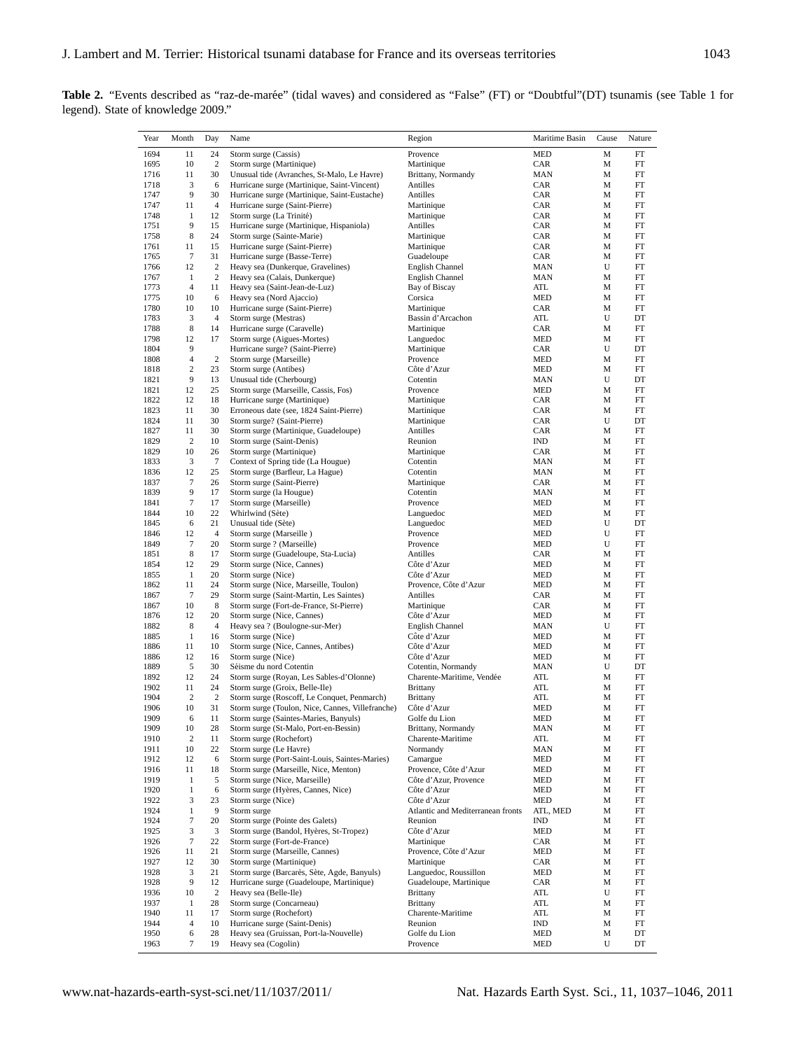| Year         | Month                          | Day                  | Name                                                                     | Region                                  | Maritime Basin | Cause  | Nature   |
|--------------|--------------------------------|----------------------|--------------------------------------------------------------------------|-----------------------------------------|----------------|--------|----------|
| 1694         | 11                             | 24                   | Storm surge (Cassis)                                                     | Provence                                | <b>MED</b>     | M      | FT       |
| 1695         | 10                             | 2                    | Storm surge (Martinique)                                                 | Martinique                              | CAR            | M      | FT       |
| 1716         | 11                             | 30                   | Unusual tide (Avranches, St-Malo, Le Havre)                              | Brittany, Normandy                      | MAN            | M      | FT       |
| 1718         | 3                              | 6                    | Hurricane surge (Martinique, Saint-Vincent)                              | Antilles                                | CAR            | M      | FT       |
| 1747         | 9                              | 30                   | Hurricane surge (Martinique, Saint-Eustache)                             | Antilles                                | CAR            | M      | FT       |
| 1747         | 11                             | $\overline{4}$       | Hurricane surge (Saint-Pierre)                                           | Martinique                              | CAR            | M      | FT       |
| 1748         | $\mathbf{1}$                   | 12                   | Storm surge (La Trinité)                                                 | Martinique                              | CAR            | M      | FT       |
| 1751         | 9                              | 15                   | Hurricane surge (Martinique, Hispaniola)                                 | Antilles                                | CAR            | M      | FT       |
| 1758         | 8                              | 24                   | Storm surge (Sainte-Marie)                                               | Martinique                              | CAR            | M      | FT       |
| 1761         | 11                             | 15                   | Hurricane surge (Saint-Pierre)                                           | Martinique                              | CAR            | M      | FT       |
| 1765         | $\tau$<br>12                   | 31<br>$\overline{c}$ | Hurricane surge (Basse-Terre)<br>Heavy sea (Dunkerque, Gravelines)       | Guadeloupe                              | CAR<br>MAN     | M<br>U | FT<br>FT |
| 1766         |                                | $\overline{c}$       |                                                                          | English Channel                         |                |        | FT       |
| 1767<br>1773 | $\mathbf{1}$<br>$\overline{4}$ | 11                   | Heavy sea (Calais, Dunkerque)                                            | English Channel                         | MAN<br>ATL     | M<br>M | FT       |
| 1775         | 10                             | 6                    | Heavy sea (Saint-Jean-de-Luz)<br>Heavy sea (Nord Ajaccio)                | Bay of Biscay<br>Corsica                | MED            | M      | FT       |
| 1780         | 10                             | 10                   | Hurricane surge (Saint-Pierre)                                           | Martinique                              | CAR            | M      | FT       |
| 1783         | 3                              | $\overline{4}$       | Storm surge (Mestras)                                                    | Bassin d'Arcachon                       | ATL            | U      | DT       |
| 1788         | 8                              | 14                   | Hurricane surge (Caravelle)                                              | Martinique                              | CAR            | M      | FT       |
| 1798         | 12                             | 17                   | Storm surge (Aigues-Mortes)                                              | Languedoc                               | <b>MED</b>     | M      | FT       |
| 1804         | 9                              |                      | Hurricane surge? (Saint-Pierre)                                          | Martinique                              | CAR            | U      | DT       |
| 1808         | $\overline{\mathbf{4}}$        | $\overline{c}$       | Storm surge (Marseille)                                                  | Provence                                | <b>MED</b>     | M      | FT       |
| 1818         | $\overline{c}$                 | 23                   | Storm surge (Antibes)                                                    | Côte d'Azur                             | MED            | M      | FT       |
| 1821         | 9                              | 13                   | Unusual tide (Cherbourg)                                                 | Cotentin                                | MAN            | U      | DT       |
| 1821         | 12                             | 25                   | Storm surge (Marseille, Cassis, Fos)                                     | Provence                                | <b>MED</b>     | M      | FT       |
| 1822         | 12                             | 18                   | Hurricane surge (Martinique)                                             | Martinique                              | CAR            | M      | FT       |
| 1823         | 11                             | 30                   | Erroneous date (see, 1824 Saint-Pierre)                                  | Martinique                              | CAR            | M      | FT       |
| 1824         | 11                             | 30                   | Storm surge? (Saint-Pierre)                                              | Martinique                              | CAR            | U      | DT       |
| 1827         | 11                             | 30                   | Storm surge (Martinique, Guadeloupe)                                     | Antilles                                | CAR            | M      | FT       |
| 1829         | $\mathbf{2}$                   | 10                   | Storm surge (Saint-Denis)                                                | Reunion                                 | IND            | M      | FT       |
| 1829         | 10                             | 26                   | Storm surge (Martinique)                                                 | Martinique                              | CAR            | M      | FT       |
| 1833         | 3                              | $\tau$               | Context of Spring tide (La Hougue)                                       | Cotentin                                | MAN            | M      | FT       |
| 1836         | 12                             | 25                   | Storm surge (Barfleur, La Hague)                                         | Cotentin                                | MAN            | M      | FT       |
| 1837         | 7                              | 26                   | Storm surge (Saint-Pierre)                                               | Martinique                              | CAR            | M      | FT       |
| 1839         | 9                              | 17                   | Storm surge (la Hougue)                                                  | Cotentin                                | MAN            | M      | FT       |
| 1841         | 7                              | 17                   | Storm surge (Marseille)                                                  | Provence                                | <b>MED</b>     | M      | FT       |
| 1844         | 10                             | 22                   | Whirlwind (Sète)                                                         | Languedoc                               | <b>MED</b>     | M      | FT       |
| 1845         | 6                              | 21                   | Unusual tide (Sète)                                                      | Languedoc                               | <b>MED</b>     | U      | DT       |
| 1846         | 12                             | $\overline{4}$       | Storm surge (Marseille)                                                  | Provence                                | <b>MED</b>     | U      | FT       |
| 1849         | 7                              | 20                   | Storm surge ? (Marseille)                                                | Provence                                | <b>MED</b>     | U      | FT       |
| 1851         | 8                              | 17                   | Storm surge (Guadeloupe, Sta-Lucia)                                      | Antilles                                | CAR            | M      | FT       |
| 1854         | 12                             | 29                   | Storm surge (Nice, Cannes)                                               | Côte d'Azur                             | <b>MED</b>     | M      | FT       |
| 1855         | 1                              | 20                   | Storm surge (Nice)                                                       | Côte d'Azur                             | <b>MED</b>     | M      | FT       |
| 1862         | 11                             | 24                   | Storm surge (Nice, Marseille, Toulon)                                    | Provence, Côte d'Azur                   | <b>MED</b>     | M      | FT       |
| 1867         | 7                              | 29                   | Storm surge (Saint-Martin, Les Saintes)                                  | Antilles                                | CAR            | M      | FT       |
| 1867         | 10                             | 8                    | Storm surge (Fort-de-France, St-Pierre)                                  | Martinique                              | CAR            | M      | FT       |
| 1876         | 12                             | 20                   | Storm surge (Nice, Cannes)                                               | Côte d'Azur                             | <b>MED</b>     | M      | FT       |
| 1882         | 8                              | $\overline{4}$       | Heavy sea ? (Boulogne-sur-Mer)                                           | English Channel                         | MAN            | U      | FT       |
| 1885         | $\mathbf{1}$                   | 16                   | Storm surge (Nice)                                                       | Côte d'Azur                             | <b>MED</b>     | M      | FT       |
| 1886         | 11                             | 10                   | Storm surge (Nice, Cannes, Antibes)                                      | Côte d'Azur                             | MED            | M      | FT       |
| 1886         | 12                             | 16                   | Storm surge (Nice)                                                       | Côte d'Azur                             | <b>MED</b>     | M      | FT       |
| 1889         | 5                              | 30                   | Séisme du nord Cotentin                                                  | Cotentin, Normandy                      | MAN            | U      | DT       |
| 1892         | 12                             | 24                   | Storm surge (Royan, Les Sables-d'Olonne)                                 | Charente-Maritime, Vendée               | ATL            | M      | FT       |
| 1902         | 11                             | 24                   | Storm surge (Groix, Belle-Ile)                                           | <b>Brittany</b>                         | ATL            | M      | FT       |
| 1904         | $\mathbf{2}$                   | 2                    | Storm surge (Roscoff, Le Conquet, Penmarch)                              | <b>Brittany</b>                         | ATL            | M      | FT       |
| 1906         | 10                             | 31                   | Storm surge (Toulon, Nice, Cannes, Villefranche)                         | Côte d'Azur                             | <b>MED</b>     | M      | FT       |
| 1909         | 6                              | 11                   | Storm surge (Saintes-Maries, Banyuls)                                    | Golfe du Lion                           | <b>MED</b>     | M      | FT       |
| 1909<br>1910 | $10\,$<br>$\boldsymbol{2}$     | 28<br>11             | Storm surge (St-Malo, Port-en-Bessin)<br>Storm surge (Rochefort)         | Brittany, Normandy<br>Charente-Maritime | MAN<br>ATL     | M<br>М | FT<br>FT |
|              |                                | 22                   |                                                                          |                                         |                |        |          |
| 1911         | 10<br>12                       | 6                    | Storm surge (Le Havre)<br>Storm surge (Port-Saint-Louis, Saintes-Maries) | Normandy                                | MAN            | М<br>М | FT       |
| 1912         |                                | 18                   | Storm surge (Marseille, Nice, Menton)                                    | Camargue                                | MED            |        | FT       |
| 1916         | 11<br>$\mathbf{1}$             | 5                    |                                                                          | Provence, Côte d'Azur                   | MED            | М<br>М | FT<br>FT |
| 1919<br>1920 | $\mathbf{1}$                   | 6                    | Storm surge (Nice, Marseille)<br>Storm surge (Hyères, Cannes, Nice)      | Côte d'Azur, Provence<br>Côte d'Azur    | MED<br>MED     | М      | FT       |
| 1922         | 3                              | 23                   | Storm surge (Nice)                                                       | Côte d'Azur                             | <b>MED</b>     | М      | FT       |
| 1924         | $\mathbf{1}$                   | 9                    | Storm surge                                                              | Atlantic and Mediterranean fronts       | ATL, MED       | М      | FT       |
| 1924         | 7                              | 20                   | Storm surge (Pointe des Galets)                                          | Reunion                                 | IND            | M      | FT       |
| 1925         | 3                              | 3                    | Storm surge (Bandol, Hyères, St-Tropez)                                  | Côte d'Azur                             | <b>MED</b>     | M      | FT       |
| 1926         | $\tau$                         | 22                   | Storm surge (Fort-de-France)                                             | Martinique                              | CAR            | М      | FT       |
| 1926         | 11                             | 21                   | Storm surge (Marseille, Cannes)                                          | Provence, Côte d'Azur                   | MED            | М      | FT       |
| 1927         | 12                             | 30                   | Storm surge (Martinique)                                                 | Martinique                              | CAR            | М      | FT       |
| 1928         | 3                              | 21                   | Storm surge (Barcarès, Sète, Agde, Banyuls)                              | Languedoc, Roussillon                   | <b>MED</b>     | М      | FT       |
| 1928         | 9                              | 12                   | Hurricane surge (Guadeloupe, Martinique)                                 | Guadeloupe, Martinique                  | CAR            | М      | FT       |
| 1936         | 10                             | 2                    | Heavy sea (Belle-Ile)                                                    | <b>Brittany</b>                         | ATL            | U      | FT       |
| 1937         | $\mathbf{1}$                   | 28                   | Storm surge (Concarneau)                                                 | <b>Brittany</b>                         | ATL            | M      | FT       |
| 1940         | 11                             | 17                   | Storm surge (Rochefort)                                                  | Charente-Maritime                       | ATL            | M      | FT       |
| 1944         | 4                              | 10                   | Hurricane surge (Saint-Denis)                                            | Reunion                                 | IND            | М      | FT       |
| 1950         | 6                              | 28                   | Heavy sea (Gruissan, Port-la-Nouvelle)                                   | Golfe du Lion                           | MED            | М      | DT       |
| 1963         | 7                              | 19                   | Heavy sea (Cogolin)                                                      | Provence                                | MED            | U      | DT       |
|              |                                |                      |                                                                          |                                         |                |        |          |

Table 2. "Events described as "raz-de-marée" (tidal waves) and considered as "False" (FT) or "Doubtful"(DT) tsunamis (see Table 1 for legend). State of knowledge 2009."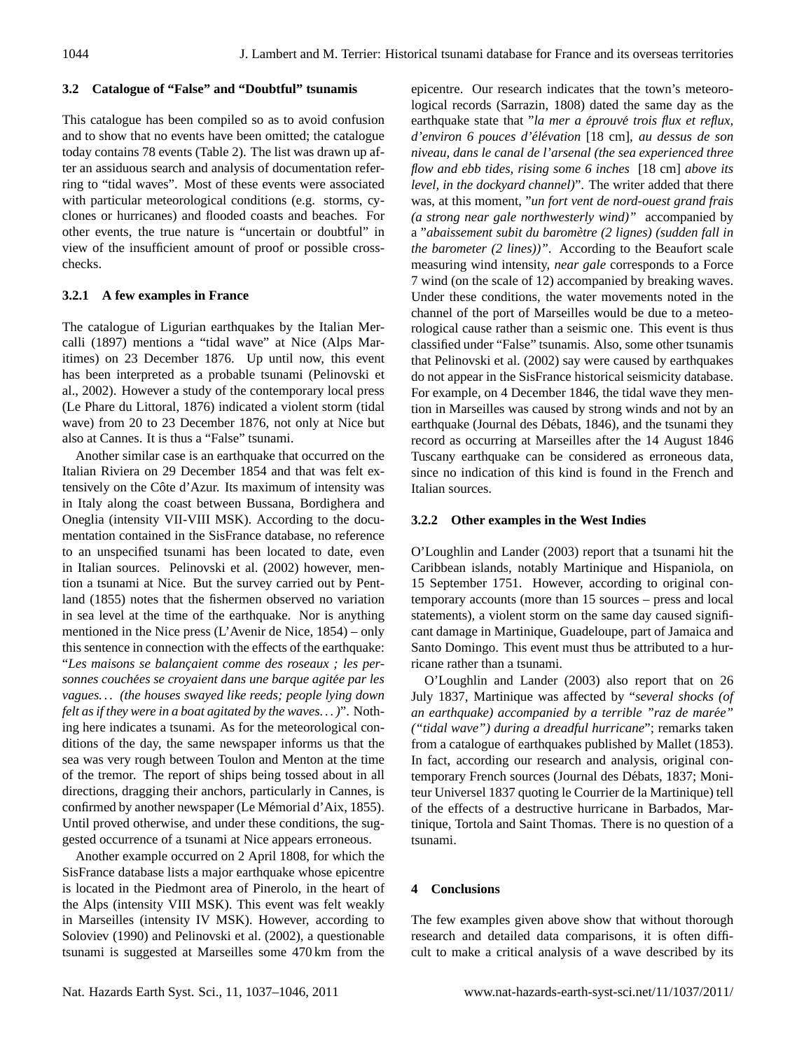# **3.2 Catalogue of "False" and "Doubtful" tsunamis**

This catalogue has been compiled so as to avoid confusion and to show that no events have been omitted; the catalogue today contains 78 events (Table 2). The list was drawn up after an assiduous search and analysis of documentation referring to "tidal waves". Most of these events were associated with particular meteorological conditions (e.g. storms, cyclones or hurricanes) and flooded coasts and beaches. For other events, the true nature is "uncertain or doubtful" in view of the insufficient amount of proof or possible crosschecks.

# **3.2.1 A few examples in France**

The catalogue of Ligurian earthquakes by the Italian Mercalli (1897) mentions a "tidal wave" at Nice (Alps Maritimes) on 23 December 1876. Up until now, this event has been interpreted as a probable tsunami (Pelinovski et al., 2002). However a study of the contemporary local press (Le Phare du Littoral, 1876) indicated a violent storm (tidal wave) from 20 to 23 December 1876, not only at Nice but also at Cannes. It is thus a "False" tsunami.

Another similar case is an earthquake that occurred on the Italian Riviera on 29 December 1854 and that was felt extensively on the Côte d'Azur. Its maximum of intensity was in Italy along the coast between Bussana, Bordighera and Oneglia (intensity VII-VIII MSK). According to the documentation contained in the SisFrance database, no reference to an unspecified tsunami has been located to date, even in Italian sources. Pelinovski et al. (2002) however, mention a tsunami at Nice. But the survey carried out by Pentland (1855) notes that the fishermen observed no variation in sea level at the time of the earthquake. Nor is anything mentioned in the Nice press (L'Avenir de Nice, 1854) – only this sentence in connection with the effects of the earthquake: "Les maisons se balançaient comme des roseaux ; les per*sonnes couchées se croyaient dans une barque agitée par les vagues. . . (the houses swayed like reeds; people lying down felt as if they were in a boat agitated by the waves. . . )*". Nothing here indicates a tsunami. As for the meteorological conditions of the day, the same newspaper informs us that the sea was very rough between Toulon and Menton at the time of the tremor. The report of ships being tossed about in all directions, dragging their anchors, particularly in Cannes, is confirmed by another newspaper (Le Mémorial d'Aix, 1855). Until proved otherwise, and under these conditions, the suggested occurrence of a tsunami at Nice appears erroneous.

Another example occurred on 2 April 1808, for which the SisFrance database lists a major earthquake whose epicentre is located in the Piedmont area of Pinerolo, in the heart of the Alps (intensity VIII MSK). This event was felt weakly in Marseilles (intensity IV MSK). However, according to Soloviev (1990) and Pelinovski et al. (2002), a questionable tsunami is suggested at Marseilles some 470 km from the

epicentre. Our research indicates that the town's meteorological records (Sarrazin, 1808) dated the same day as the earthquake state that "*la mer a éprouvé trois flux et reflux*, *d'environ 6 pouces d'el´ evation ´* [18 cm]*, au dessus de son niveau, dans le canal de l'arsenal (the sea experienced three flow and ebb tides, rising some 6 inches* [18 cm] *above its level, in the dockyard channel)*". The writer added that there was, at this moment, "*un fort vent de nord-ouest grand frais (a strong near gale northwesterly wind)"* accompanied by a "*abaissement subit du barometre (2 lignes) (sudden fall in ` the barometer (2 lines))"*. According to the Beaufort scale measuring wind intensity, *near gale* corresponds to a Force 7 wind (on the scale of 12) accompanied by breaking waves. Under these conditions, the water movements noted in the channel of the port of Marseilles would be due to a meteorological cause rather than a seismic one. This event is thus classified under "False" tsunamis. Also, some other tsunamis that Pelinovski et al. (2002) say were caused by earthquakes do not appear in the SisFrance historical seismicity database. For example, on 4 December 1846, the tidal wave they mention in Marseilles was caused by strong winds and not by an earthquake (Journal des Débats, 1846), and the tsunami they record as occurring at Marseilles after the 14 August 1846 Tuscany earthquake can be considered as erroneous data, since no indication of this kind is found in the French and Italian sources.

## **3.2.2 Other examples in the West Indies**

O'Loughlin and Lander (2003) report that a tsunami hit the Caribbean islands, notably Martinique and Hispaniola, on 15 September 1751. However, according to original contemporary accounts (more than 15 sources – press and local statements), a violent storm on the same day caused significant damage in Martinique, Guadeloupe, part of Jamaica and Santo Domingo. This event must thus be attributed to a hurricane rather than a tsunami.

O'Loughlin and Lander (2003) also report that on 26 July 1837, Martinique was affected by "*several shocks (of an earthquake) accompanied by a terrible "raz de maree" ´ ("tidal wave") during a dreadful hurricane*"; remarks taken from a catalogue of earthquakes published by Mallet (1853). In fact, according our research and analysis, original contemporary French sources (Journal des Débats, 1837; Moniteur Universel 1837 quoting le Courrier de la Martinique) tell of the effects of a destructive hurricane in Barbados, Martinique, Tortola and Saint Thomas. There is no question of a tsunami.

# **4 Conclusions**

The few examples given above show that without thorough research and detailed data comparisons, it is often difficult to make a critical analysis of a wave described by its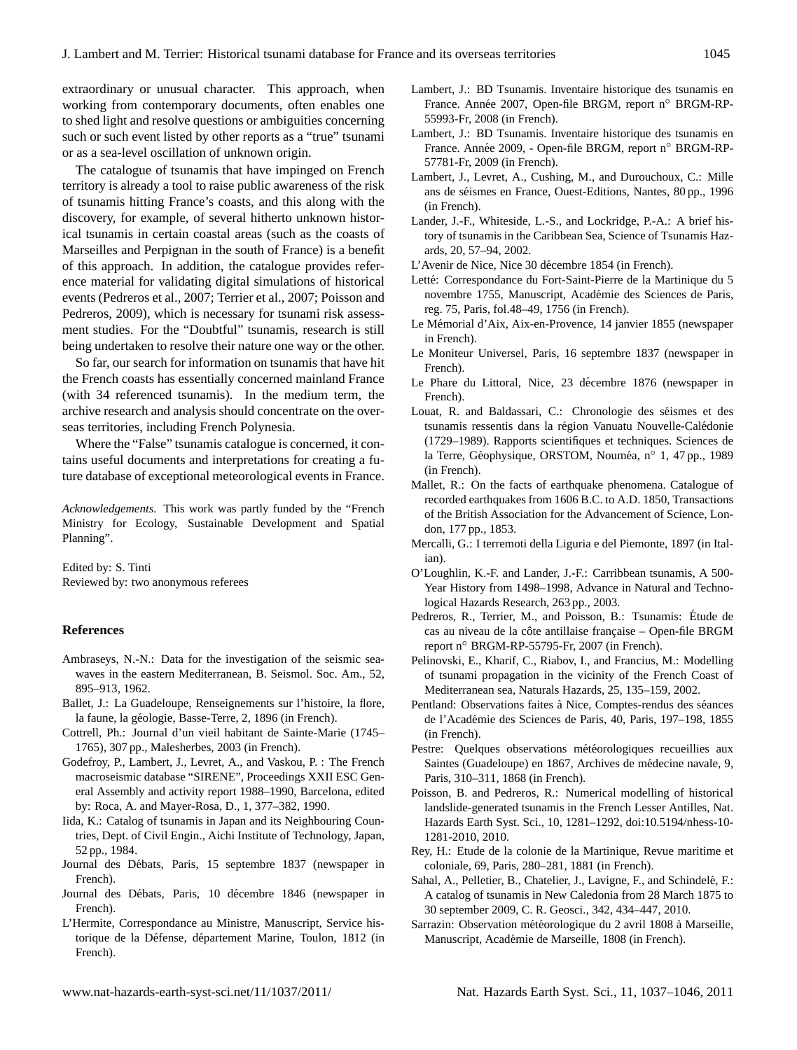extraordinary or unusual character. This approach, when working from contemporary documents, often enables one to shed light and resolve questions or ambiguities concerning such or such event listed by other reports as a "true" tsunami or as a sea-level oscillation of unknown origin.

The catalogue of tsunamis that have impinged on French territory is already a tool to raise public awareness of the risk of tsunamis hitting France's coasts, and this along with the discovery, for example, of several hitherto unknown historical tsunamis in certain coastal areas (such as the coasts of Marseilles and Perpignan in the south of France) is a benefit of this approach. In addition, the catalogue provides reference material for validating digital simulations of historical events (Pedreros et al., 2007; Terrier et al., 2007; Poisson and Pedreros, 2009), which is necessary for tsunami risk assessment studies. For the "Doubtful" tsunamis, research is still being undertaken to resolve their nature one way or the other.

So far, our search for information on tsunamis that have hit the French coasts has essentially concerned mainland France (with 34 referenced tsunamis). In the medium term, the archive research and analysis should concentrate on the overseas territories, including French Polynesia.

Where the "False" tsunamis catalogue is concerned, it contains useful documents and interpretations for creating a future database of exceptional meteorological events in France.

*Acknowledgements.* This work was partly funded by the "French Ministry for Ecology, Sustainable Development and Spatial Planning".

Edited by: S. Tinti Reviewed by: two anonymous referees

## **References**

- Ambraseys, N.-N.: Data for the investigation of the seismic seawaves in the eastern Mediterranean, B. Seismol. Soc. Am., 52, 895–913, 1962.
- Ballet, J.: La Guadeloupe, Renseignements sur l'histoire, la flore, la faune, la géologie, Basse-Terre, 2, 1896 (in French).
- Cottrell, Ph.: Journal d'un vieil habitant de Sainte-Marie (1745– 1765), 307 pp., Malesherbes, 2003 (in French).
- Godefroy, P., Lambert, J., Levret, A., and Vaskou, P. : The French macroseismic database "SIRENE", Proceedings XXII ESC General Assembly and activity report 1988–1990, Barcelona, edited by: Roca, A. and Mayer-Rosa, D., 1, 377–382, 1990.
- Iida, K.: Catalog of tsunamis in Japan and its Neighbouring Countries, Dept. of Civil Engin., Aichi Institute of Technology, Japan, 52 pp., 1984.
- Journal des Débats, Paris, 15 septembre 1837 (newspaper in French).
- Journal des Débats, Paris, 10 décembre 1846 (newspaper in French).
- L'Hermite, Correspondance au Ministre, Manuscript, Service historique de la Défense, département Marine, Toulon, 1812 (in French).
- Lambert, J.: BD Tsunamis. Inventaire historique des tsunamis en France. Année 2007, Open-file BRGM, report n° BRGM-RP-55993-Fr, 2008 (in French).
- Lambert, J.: BD Tsunamis. Inventaire historique des tsunamis en France. Année 2009, - Open-file BRGM, report n° BRGM-RP-57781-Fr, 2009 (in French).
- Lambert, J., Levret, A., Cushing, M., and Durouchoux, C.: Mille ans de séismes en France, Ouest-Editions, Nantes, 80 pp., 1996 (in French).
- Lander, J.-F., Whiteside, L.-S., and Lockridge, P.-A.: A brief history of tsunamis in the Caribbean Sea, Science of Tsunamis Hazards, 20, 57–94, 2002.
- L'Avenir de Nice, Nice 30 décembre 1854 (in French).
- Letté: Correspondance du Fort-Saint-Pierre de la Martinique du 5 novembre 1755, Manuscript, Académie des Sciences de Paris, reg. 75, Paris, fol.48–49, 1756 (in French).
- Le Mémorial d'Aix, Aix-en-Provence, 14 janvier 1855 (newspaper in French).
- Le Moniteur Universel, Paris, 16 septembre 1837 (newspaper in French).
- Le Phare du Littoral, Nice, 23 décembre 1876 (newspaper in French).
- Louat, R. and Baldassari, C.: Chronologie des séismes et des tsunamis ressentis dans la région Vanuatu Nouvelle-Calédonie (1729–1989). Rapports scientifiques et techniques. Sciences de la Terre, Géophysique, ORSTOM, Nouméa, nº 1, 47 pp., 1989 (in French).
- Mallet, R.: On the facts of earthquake phenomena. Catalogue of recorded earthquakes from 1606 B.C. to A.D. 1850, Transactions of the British Association for the Advancement of Science, London, 177 pp., 1853.
- Mercalli, G.: I terremoti della Liguria e del Piemonte, 1897 (in Italian).
- O'Loughlin, K.-F. and Lander, J.-F.: Carribbean tsunamis, A 500- Year History from 1498–1998, Advance in Natural and Technological Hazards Research, 263 pp., 2003.
- Pedreros, R., Terrier, M., and Poisson, B.: Tsunamis: Etude de ´ cas au niveau de la côte antillaise française – Open-file BRGM report n◦ BRGM-RP-55795-Fr, 2007 (in French).
- Pelinovski, E., Kharif, C., Riabov, I., and Francius, M.: Modelling of tsunami propagation in the vicinity of the French Coast of Mediterranean sea, Naturals Hazards, 25, 135–159, 2002.
- Pentland: Observations faites à Nice, Comptes-rendus des séances de l'Academie des Sciences de Paris, 40, Paris, 197–198, 1855 ´ (in French).
- Pestre: Quelques observations météorologiques recueillies aux Saintes (Guadeloupe) en 1867, Archives de médecine navale, 9, Paris, 310–311, 1868 (in French).
- Poisson, B. and Pedreros, R.: Numerical modelling of historical landslide-generated tsunamis in the French Lesser Antilles, Nat. Hazards Earth Syst. Sci., 10, 1281–1292, [doi:10.5194/nhess-10-](http://dx.doi.org/10.5194/nhess-10-1281-2010) [1281-2010,](http://dx.doi.org/10.5194/nhess-10-1281-2010) 2010.
- Rey, H.: Etude de la colonie de la Martinique, Revue maritime et coloniale, 69, Paris, 280–281, 1881 (in French).
- Sahal, A., Pelletier, B., Chatelier, J., Lavigne, F., and Schindelé, F.: A catalog of tsunamis in New Caledonia from 28 March 1875 to 30 september 2009, C. R. Geosci., 342, 434–447, 2010.
- Sarrazin: Observation météorologique du 2 avril 1808 à Marseille, Manuscript, Académie de Marseille, 1808 (in French).